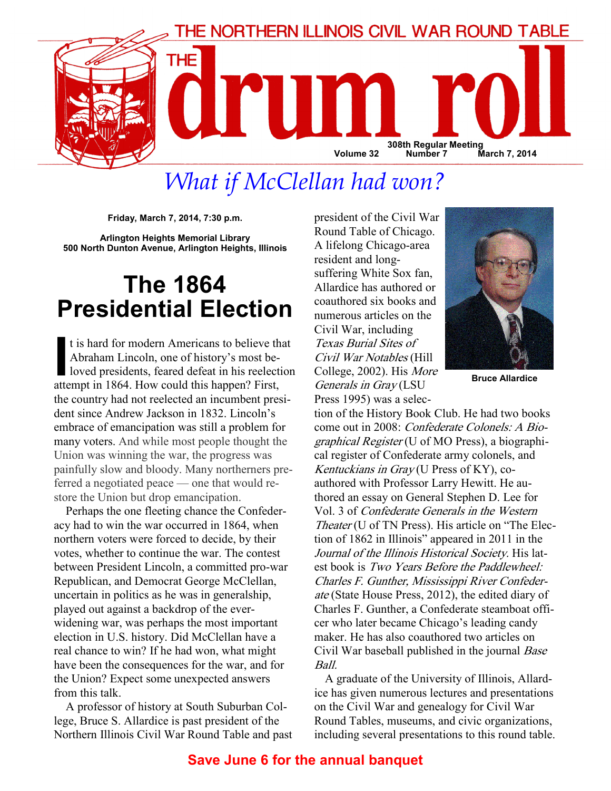

# What if McClellan had won?

Friday, March 7, 2014, 7:30 p.m.

Arlington Heights Memorial Library 500 North Dunton Avenue, Arlington Heights, Illinois

## The 1864 Presidential Election

t is hard for modern Americans to believe that<br>Abraham Lincoln, one of history's most be-<br>loved presidents, feared defeat in his reelection<br>attemnt in 1864. How could this hannen? First Abraham Lincoln, one of history's most beloved presidents, feared defeat in his reelection attempt in 1864. How could this happen? First, the country had not reelected an incumbent president since Andrew Jackson in 1832. Lincoln's embrace of emancipation was still a problem for many voters. And while most people thought the Union was winning the war, the progress was painfully slow and bloody. Many northerners preferred a negotiated peace — one that would restore the Union but drop emancipation.

Perhaps the one fleeting chance the Confederacy had to win the war occurred in 1864, when northern voters were forced to decide, by their votes, whether to continue the war. The contest between President Lincoln, a committed pro-war Republican, and Democrat George McClellan, uncertain in politics as he was in generalship, played out against a backdrop of the everwidening war, was perhaps the most important election in U.S. history. Did McClellan have a real chance to win? If he had won, what might have been the consequences for the war, and for the Union? Expect some unexpected answers from this talk.

A professor of history at South Suburban College, Bruce S. Allardice is past president of the Northern Illinois Civil War Round Table and past president of the Civil War Round Table of Chicago. A lifelong Chicago-area resident and longsuffering White Sox fan, Allardice has authored or coauthored six books and numerous articles on the Civil War, including Texas Burial Sites of Civil War Notables (Hill College, 2002). His More Generals in Gray (LSU Press 1995) was a selec-



Bruce Allardice

tion of the History Book Club. He had two books come out in 2008: Confederate Colonels: A Biographical Register (U of MO Press), a biographical register of Confederate army colonels, and Kentuckians in Gray (U Press of KY), coauthored with Professor Larry Hewitt. He authored an essay on General Stephen D. Lee for Vol. 3 of Confederate Generals in the Western Theater (U of TN Press). His article on "The Election of 1862 in Illinois" appeared in 2011 in the Journal of the Illinois Historical Society. His latest book is Two Years Before the Paddlewheel: Charles F. Gunther, Mississippi River Confederate (State House Press, 2012), the edited diary of Charles F. Gunther, a Confederate steamboat officer who later became Chicago's leading candy maker. He has also coauthored two articles on Civil War baseball published in the journal Base Ball.

A graduate of the University of Illinois, Allardice has given numerous lectures and presentations on the Civil War and genealogy for Civil War Round Tables, museums, and civic organizations, including several presentations to this round table.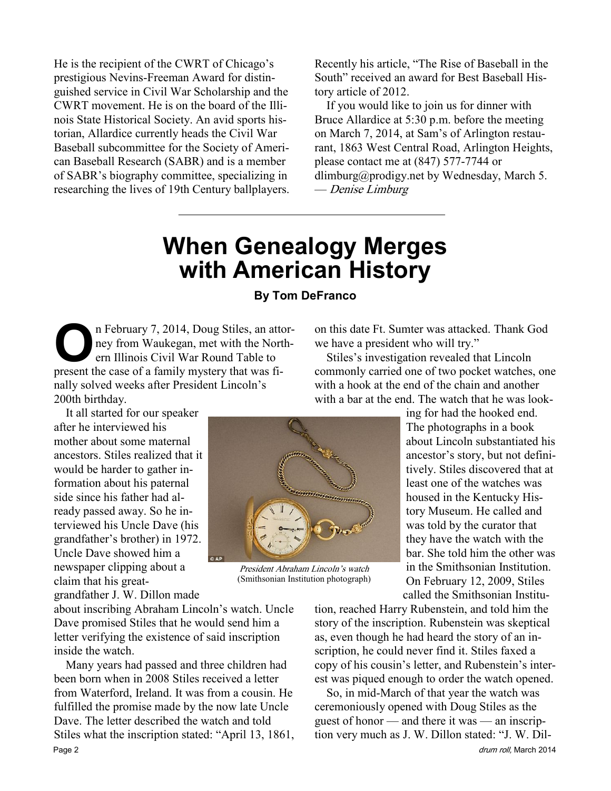He is the recipient of the CWRT of Chicago's prestigious Nevins-Freeman Award for distinguished service in Civil War Scholarship and the CWRT movement. He is on the board of the Illinois State Historical Society. An avid sports historian, Allardice currently heads the Civil War Baseball subcommittee for the Society of American Baseball Research (SABR) and is a member of SABR's biography committee, specializing in researching the lives of 19th Century ballplayers.

Recently his article, "The Rise of Baseball in the South" received an award for Best Baseball History article of 2012.

If you would like to join us for dinner with Bruce Allardice at 5:30 p.m. before the meeting on March 7, 2014, at Sam's of Arlington restaurant, 1863 West Central Road, Arlington Heights, please contact me at (847) 577-7744 or dlimburg@prodigy.net by Wednesday, March 5. — Denise Limburg

## When Genealogy Merges with American History

#### By Tom DeFranco

n February 7, 2014, Doug Stiles, an attorney from Waukegan, met with the Northern Illinois Civil War Round Table to present the case of a family mystery that was finally solved weeks after President Lincoln's 200th birthday.

It all started for our speaker after he interviewed his mother about some maternal ancestors. Stiles realized that it would be harder to gather information about his paternal side since his father had already passed away. So he interviewed his Uncle Dave (his grandfather's brother) in 1972. Uncle Dave showed him a newspaper clipping about a claim that his great-

grandfather J. W. Dillon made

about inscribing Abraham Lincoln's watch. Uncle Dave promised Stiles that he would send him a letter verifying the existence of said inscription inside the watch.

Many years had passed and three children had been born when in 2008 Stiles received a letter from Waterford, Ireland. It was from a cousin. He fulfilled the promise made by the now late Uncle Dave. The letter described the watch and told Stiles what the inscription stated: "April 13, 1861, Page 2 drum roll, March 2014

on this date Ft. Sumter was attacked. Thank God we have a president who will try."

Stiles's investigation revealed that Lincoln commonly carried one of two pocket watches, one with a hook at the end of the chain and another with a bar at the end. The watch that he was look-

> ing for had the hooked end. The photographs in a book about Lincoln substantiated his ancestor's story, but not definitively. Stiles discovered that at least one of the watches was housed in the Kentucky History Museum. He called and was told by the curator that they have the watch with the bar. She told him the other was in the Smithsonian Institution. On February 12, 2009, Stiles called the Smithsonian Institu-

tion, reached Harry Rubenstein, and told him the story of the inscription. Rubenstein was skeptical as, even though he had heard the story of an inscription, he could never find it. Stiles faxed a copy of his cousin's letter, and Rubenstein's interest was piqued enough to order the watch opened.

So, in mid-March of that year the watch was ceremoniously opened with Doug Stiles as the guest of honor — and there it was — an inscription very much as J. W. Dillon stated: "J. W. Dil-



President Abraham Lincoln's watch (Smithsonian Institution photograph)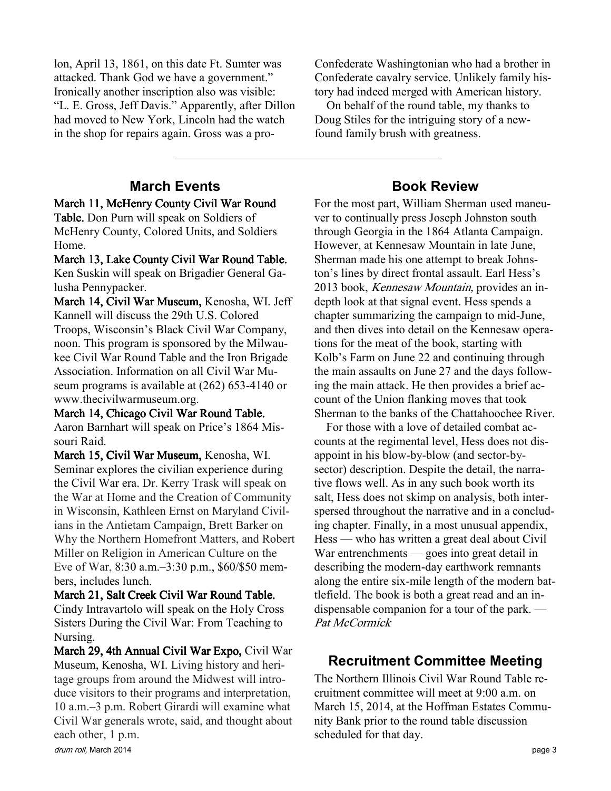lon, April 13, 1861, on this date Ft. Sumter was attacked. Thank God we have a government." Ironically another inscription also was visible: "L. E. Gross, Jeff Davis." Apparently, after Dillon had moved to New York, Lincoln had the watch in the shop for repairs again. Gross was a pro-

## March Events

March 11, McHenry County Civil War Round

Table. Don Purn will speak on Soldiers of McHenry County, Colored Units, and Soldiers Home.

March 13, Lake County Civil War Round Table. Ken Suskin will speak on Brigadier General Galusha Pennypacker.

March 14, Civil War Museum, Kenosha, WI. Jeff Kannell will discuss the 29th U.S. Colored Troops, Wisconsin's Black Civil War Company, noon. This program is sponsored by the Milwaukee Civil War Round Table and the Iron Brigade Association. Information on all Civil War Museum programs is available at (262) 653-4140 or www.thecivilwarmuseum.org.

March 14, Chicago Civil War Round Table. Aaron Barnhart will speak on Price's 1864 Missouri Raid.

March 15, Civil War Museum, Kenosha, WI. Seminar explores the civilian experience during the Civil War era. Dr. Kerry Trask will speak on the War at Home and the Creation of Community in Wisconsin, Kathleen Ernst on Maryland Civilians in the Antietam Campaign, Brett Barker on Why the Northern Homefront Matters, and Robert Miller on Religion in American Culture on the Eve of War, 8:30 a.m.–3:30 p.m., \$60/\$50 members, includes lunch.

#### March 21, Salt Creek Civil War Round Table.

Cindy Intravartolo will speak on the Holy Cross Sisters During the Civil War: From Teaching to Nursing.

March 29, 4th Annual Civil War Expo, Civil War Museum, Kenosha, WI. Living history and heritage groups from around the Midwest will introduce visitors to their programs and interpretation, 10 a.m.–3 p.m. Robert Girardi will examine what Civil War generals wrote, said, and thought about each other, 1 p.m.

Confederate Washingtonian who had a brother in Confederate cavalry service. Unlikely family history had indeed merged with American history.

On behalf of the round table, my thanks to Doug Stiles for the intriguing story of a newfound family brush with greatness.

### Book Review

For the most part, William Sherman used maneuver to continually press Joseph Johnston south through Georgia in the 1864 Atlanta Campaign. However, at Kennesaw Mountain in late June, Sherman made his one attempt to break Johnston's lines by direct frontal assault. Earl Hess's 2013 book, Kennesaw Mountain, provides an indepth look at that signal event. Hess spends a chapter summarizing the campaign to mid-June, and then dives into detail on the Kennesaw operations for the meat of the book, starting with Kolb's Farm on June 22 and continuing through the main assaults on June 27 and the days following the main attack. He then provides a brief account of the Union flanking moves that took Sherman to the banks of the Chattahoochee River.

For those with a love of detailed combat accounts at the regimental level, Hess does not disappoint in his blow-by-blow (and sector-bysector) description. Despite the detail, the narrative flows well. As in any such book worth its salt, Hess does not skimp on analysis, both interspersed throughout the narrative and in a concluding chapter. Finally, in a most unusual appendix, Hess — who has written a great deal about Civil War entrenchments — goes into great detail in describing the modern-day earthwork remnants along the entire six-mile length of the modern battlefield. The book is both a great read and an indispensable companion for a tour of the park. — Pat McCormick

## Recruitment Committee Meeting

The Northern Illinois Civil War Round Table recruitment committee will meet at 9:00 a.m. on March 15, 2014, at the Hoffman Estates Community Bank prior to the round table discussion scheduled for that day.